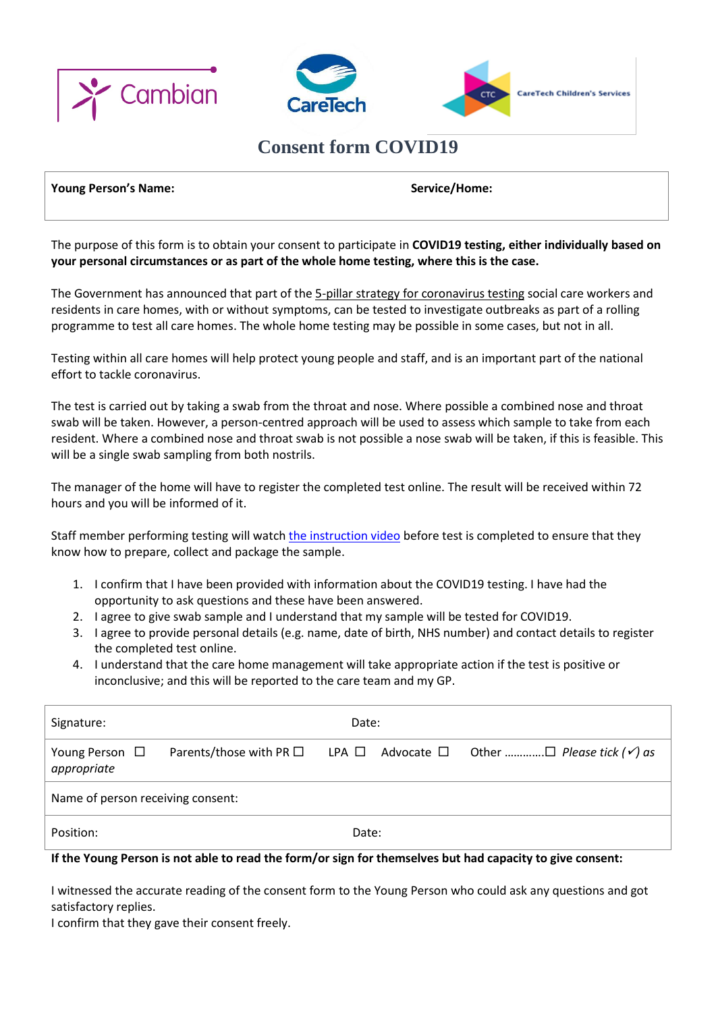



## **Consent form COVID19**

## **Young Person's Name: Name:** Service/Home: **Service/Home: Service**

The purpose of this form is to obtain your consent to participate in **COVID19 testing, either individually based on your personal circumstances or as part of the whole home testing, where this is the case.**

The Government has announced that part of the 5-pillar strategy for [coronavirus](https://www.gov.uk/government/publications/coronavirus-covid-19-scaling-up-testing-programmes) testing social care workers and residents in care homes, with or without symptoms, can be tested to investigate outbreaks as part of a rolling programme to test all care homes. The whole home testing may be possible in some cases, but not in all.

Testing within all care homes will help protect young people and staff, and is an important part of the national effort to tackle coronavirus.

The test is carried out by taking a swab from the throat and nose. Where possible a combined nose and throat swab will be taken. However, a person-centred approach will be used to assess which sample to take from each resident. Where a combined nose and throat swab is not possible a nose swab will be taken, if this is feasible. This will be a single swab sampling from both nostrils.

The manager of the home will have to register the completed test online. The result will be received within 72 hours and you will be informed of it.

Staff member performing testing will watch [the instruction video](https://www.youtube.com/watch?v=1l0jcv37WzI&feature=youtu.be) before test is completed to ensure that they know how to prepare, collect and package the sample.

- 1. I confirm that I have been provided with information about the COVID19 testing. I have had the opportunity to ask questions and these have been answered.
- 2. I agree to give swab sample and I understand that my sample will be tested for COVID19.
- 3. I agree to provide personal details (e.g. name, date of birth, NHS number) and contact details to register the completed test online.
- 4. I understand that the care home management will take appropriate action if the test is positive or inconclusive; and this will be reported to the care team and my GP.

| Signature:                         |                                 |                 | Date: |  |  |
|------------------------------------|---------------------------------|-----------------|-------|--|--|
| Young Person $\Box$<br>appropriate | Parents/those with PR $\square$ | $LPA$ $\square$ |       |  |  |
| Name of person receiving consent:  |                                 |                 |       |  |  |
| Position:                          |                                 |                 | Date: |  |  |

## **If the Young Person is not able to read the form/or sign for themselves but had capacity to give consent:**

I witnessed the accurate reading of the consent form to the Young Person who could ask any questions and got satisfactory replies.

I confirm that they gave their consent freely.